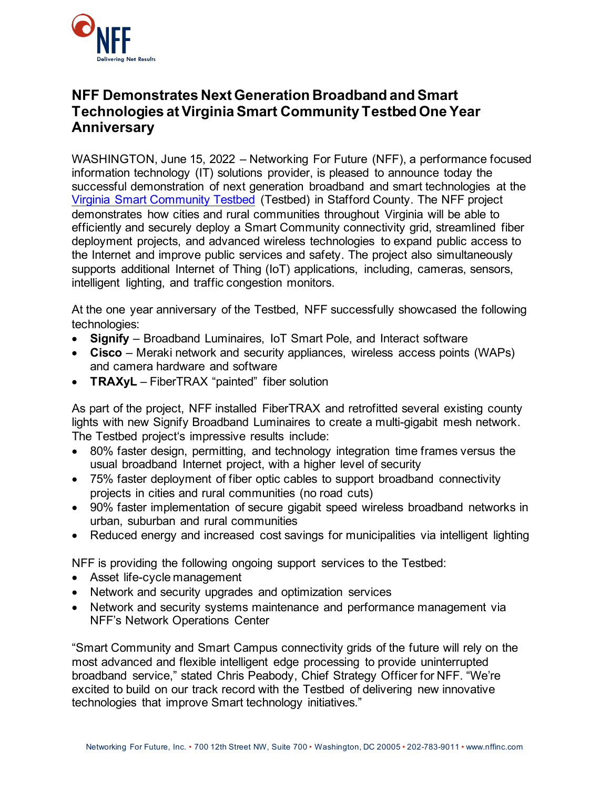

## **NFF Demonstrates Next Generation Broadband and Smart Technologies at Virginia Smart Community Testbed One Year Anniversary**

WASHINGTON, June 15, 2022 – Networking For Future (NFF), a performance focused information technology (IT) solutions provider, is pleased to announce today the successful demonstration of next generation broadband and smart technologies at the [Virginia Smart Community Testbed](https://vatestbed.com/) (Testbed) in Stafford County. The NFF project demonstrates how cities and rural communities throughout Virginia will be able to efficiently and securely deploy a Smart Community connectivity grid, streamlined fiber deployment projects, and advanced wireless technologies to expand public access to the Internet and improve public services and safety. The project also simultaneously supports additional Internet of Thing (IoT) applications, including, cameras, sensors, intelligent lighting, and traffic congestion monitors.

At the one year anniversary of the Testbed, NFF successfully showcased the following technologies:

- **Signify** Broadband Luminaires, IoT Smart Pole, and Interact software
- **Cisco** Meraki network and security appliances, wireless access points (WAPs) and camera hardware and software
- **TRAXyL** FiberTRAX "painted" fiber solution

As part of the project, NFF installed FiberTRAX and retrofitted several existing county lights with new Signify Broadband Luminaires to create a multi-gigabit mesh network. The Testbed project's impressive results include:

- 80% faster design, permitting, and technology integration time frames versus the usual broadband Internet project, with a higher level of security
- 75% faster deployment of fiber optic cables to support broadband connectivity projects in cities and rural communities (no road cuts)
- 90% faster implementation of secure gigabit speed wireless broadband networks in urban, suburban and rural communities
- Reduced energy and increased cost savings for municipalities via intelligent lighting

NFF is providing the following ongoing support services to the Testbed:

- Asset life-cycle management
- Network and security upgrades and optimization services
- Network and security systems maintenance and performance management via NFF's Network Operations Center

"Smart Community and Smart Campus connectivity grids of the future will rely on the most advanced and flexible intelligent edge processing to provide uninterrupted broadband service," stated Chris Peabody, Chief Strategy Officer for NFF. "We're excited to build on our track record with the Testbed of delivering new innovative technologies that improve Smart technology initiatives."